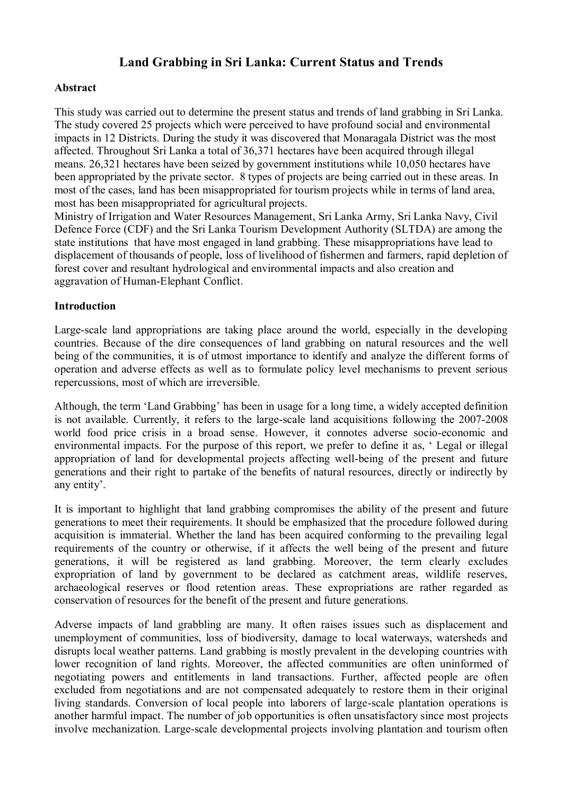# **Land Grabbing in Sri Lanka: Current Status and Trends**

## **Abstract**

This study was carried out to determine the present status and trends of land grabbing in Sri Lanka. The study covered 25 projects which were perceived to have profound social and environmental impacts in 12 Districts. During the study it was discovered that Monaragala District was the most affected. Throughout Sri Lanka a total of 36,371 hectares have been acquired through illegal means. 26,321 hectares have been seized by government institutions while 10,050 hectares have been appropriated by the private sector. 8 types of projects are being carried out in these areas. In most of the cases, land has been misappropriated for tourism projects while in terms of land area, most has been misappropriated for agricultural projects.

Ministry of Irrigation and Water Resources Management, Sri Lanka Army, Sri Lanka Navy, Civil Defence Force (CDF) and the Sri Lanka Tourism Development Authority (SLTDA) are among the state institutions that have most engaged in land grabbing. These misappropriations have lead to displacement of thousands of people, loss of livelihood of fishermen and farmers, rapid depletion of forest cover and resultant hydrological and environmental impacts and also creation and aggravation of Human-Elephant Conflict.

#### **Introduction**

Large-scale land appropriations are taking place around the world, especially in the developing countries. Because of the dire consequences of land grabbing on natural resources and the well being of the communities, it is of utmost importance to identify and analyze the different forms of operation and adverse effects as well as to formulate policy level mechanisms to prevent serious repercussions, most of which are irreversible.

Although, the term 'Land Grabbing' has been in usage for a long time, a widely accepted definition is not available. Currently, it refers to the large-scale land acquisitions following the 2007-2008 world food price crisis in a broad sense. However, it connotes adverse socio-economic and environmental impacts. For the purpose of this report, we prefer to define it as, ' Legal or illegal appropriation of land for developmental projects affecting well-being of the present and future generations and their right to partake of the benefits of natural resources, directly or indirectly by any entity'.

It is important to highlight that land grabbing compromises the ability of the present and future generations to meet their requirements. It should be emphasized that the procedure followed during acquisition is immaterial. Whether the land has been acquired conforming to the prevailing legal requirements of the country or otherwise, if it affects the well being of the present and future generations, it will be registered as land grabbing. Moreover, the term clearly excludes expropriation of land by government to be declared as catchment areas, wildlife reserves, archaeological reserves or flood retention areas. These expropriations are rather regarded as conservation of resources for the benefit of the present and future generations.

Adverse impacts of land grabbling are many. It often raises issues such as displacement and unemployment of communities, loss of biodiversity, damage to local waterways, watersheds and disrupts local weather patterns. Land grabbing is mostly prevalent in the developing countries with lower recognition of land rights. Moreover, the affected communities are often uninformed of negotiating powers and entitlements in land transactions. Further, affected people are often excluded from negotiations and are not compensated adequately to restore them in their original living standards. Conversion of local people into laborers of large-scale plantation operations is another harmful impact. The number of job opportunities is often unsatisfactory since most projects involve mechanization. Large-scale developmental projects involving plantation and tourism often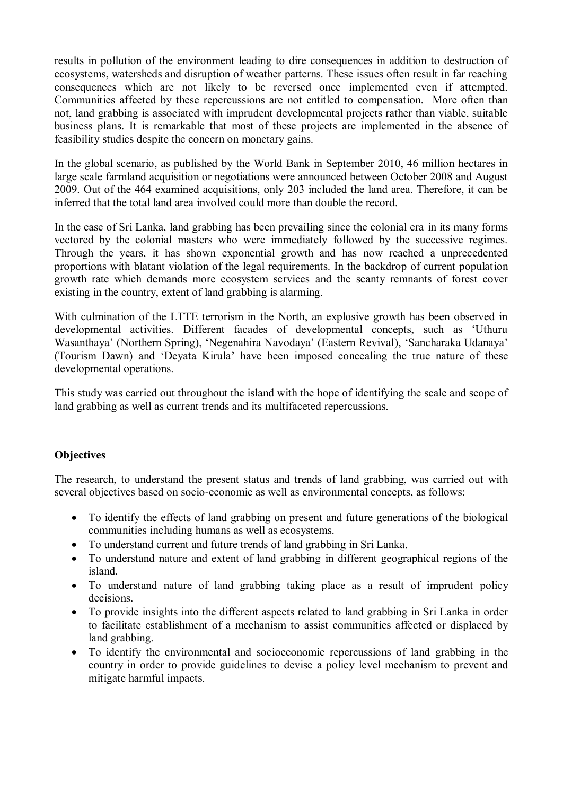results in pollution of the environment leading to dire consequences in addition to destruction of ecosystems, watersheds and disruption of weather patterns. These issues often result in far reaching consequences which are not likely to be reversed once implemented even if attempted. Communities affected by these repercussions are not entitled to compensation. More often than not, land grabbing is associated with imprudent developmental projects rather than viable, suitable business plans. It is remarkable that most of these projects are implemented in the absence of feasibility studies despite the concern on monetary gains.

In the global scenario, as published by the World Bank in September 2010, 46 million hectares in large scale farmland acquisition or negotiations were announced between October 2008 and August 2009. Out of the 464 examined acquisitions, only 203 included the land area. Therefore, it can be inferred that the total land area involved could more than double the record.

In the case of Sri Lanka, land grabbing has been prevailing since the colonial era in its many forms vectored by the colonial masters who were immediately followed by the successive regimes. Through the years, it has shown exponential growth and has now reached a unprecedented proportions with blatant violation of the legal requirements. In the backdrop of current population growth rate which demands more ecosystem services and the scanty remnants of forest cover existing in the country, extent of land grabbing is alarming.

With culmination of the LTTE terrorism in the North, an explosive growth has been observed in developmental activities. Different facades of developmental concepts, such as 'Uthuru Wasanthaya' (Northern Spring), 'Negenahira Navodaya' (Eastern Revival), 'Sancharaka Udanaya' (Tourism Dawn) and 'Deyata Kirula' have been imposed concealing the true nature of these developmental operations.

This study was carried out throughout the island with the hope of identifying the scale and scope of land grabbing as well as current trends and its multifaceted repercussions.

## **Objectives**

The research, to understand the present status and trends of land grabbing, was carried out with several objectives based on socio-economic as well as environmental concepts, as follows:

- To identify the effects of land grabbing on present and future generations of the biological communities including humans as well as ecosystems.
- To understand current and future trends of land grabbing in Sri Lanka.
- To understand nature and extent of land grabbing in different geographical regions of the island.
- To understand nature of land grabbing taking place as a result of imprudent policy decisions.
- To provide insights into the different aspects related to land grabbing in Sri Lanka in order to facilitate establishment of a mechanism to assist communities affected or displaced by land grabbing.
- To identify the environmental and socioeconomic repercussions of land grabbing in the country in order to provide guidelines to devise a policy level mechanism to prevent and mitigate harmful impacts.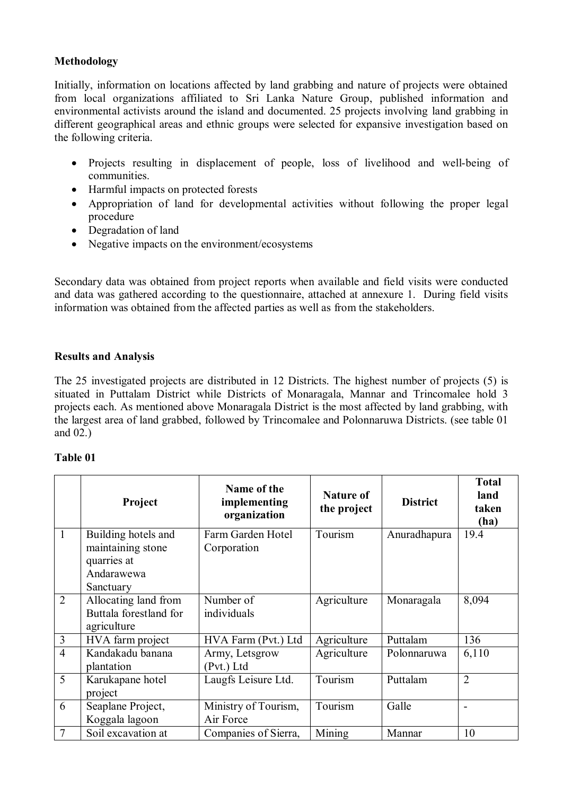## **Methodology**

Initially, information on locations affected by land grabbing and nature of projects were obtained from local organizations affiliated to Sri Lanka Nature Group, published information and environmental activists around the island and documented. 25 projects involving land grabbing in different geographical areas and ethnic groups were selected for expansive investigation based on the following criteria.

- Projects resulting in displacement of people, loss of livelihood and well-being of communities.
- Harmful impacts on protected forests
- Appropriation of land for developmental activities without following the proper legal procedure
- Degradation of land
- Negative impacts on the environment/ecosystems

Secondary data was obtained from project reports when available and field visits were conducted and data was gathered according to the questionnaire, attached at annexure 1. During field visits information was obtained from the affected parties as well as from the stakeholders.

## **Results and Analysis**

The 25 investigated projects are distributed in 12 Districts. The highest number of projects (5) is situated in Puttalam District while Districts of Monaragala, Mannar and Trincomalee hold 3 projects each. As mentioned above Monaragala District is the most affected by land grabbing, with the largest area of land grabbed, followed by Trincomalee and Polonnaruwa Districts. (see table 01 and 02.)

#### **Table 01**

|                | Project                | Name of the<br><b>Nature of</b><br>implementing<br>the project<br>organization |             | <b>District</b> | <b>Total</b><br>land<br>taken<br>(ha) |
|----------------|------------------------|--------------------------------------------------------------------------------|-------------|-----------------|---------------------------------------|
| $\mathbf{1}$   | Building hotels and    | Farm Garden Hotel                                                              | Tourism     | Anuradhapura    | 19.4                                  |
|                | maintaining stone      | Corporation                                                                    |             |                 |                                       |
|                | quarries at            |                                                                                |             |                 |                                       |
|                | Andarawewa             |                                                                                |             |                 |                                       |
|                | Sanctuary              |                                                                                |             |                 |                                       |
| $\overline{2}$ | Allocating land from   | Number of                                                                      | Agriculture | Monaragala      | 8,094                                 |
|                | Buttala forestland for | individuals                                                                    |             |                 |                                       |
|                | agriculture            |                                                                                |             |                 |                                       |
| 3              | HVA farm project       | HVA Farm (Pvt.) Ltd                                                            | Agriculture | Puttalam        | 136                                   |
| $\overline{4}$ | Kandakadu banana       | Army, Letsgrow                                                                 | Agriculture | Polonnaruwa     | 6,110                                 |
|                | plantation             | (Pvt.) Ltd                                                                     |             |                 |                                       |
| 5              | Karukapane hotel       | Laugfs Leisure Ltd.                                                            | Tourism     | Puttalam        | $\overline{2}$                        |
|                | project                |                                                                                |             |                 |                                       |
| 6              | Seaplane Project,      | Ministry of Tourism,                                                           | Tourism     | Galle           |                                       |
|                | Koggala lagoon         | Air Force                                                                      |             |                 |                                       |
| 7              | Soil excavation at     | Companies of Sierra,                                                           | Mining      | Mannar          | 10                                    |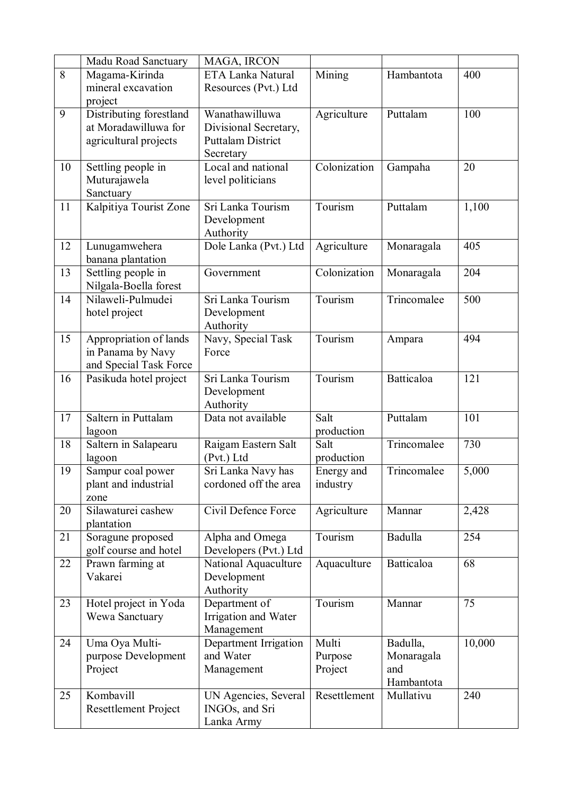|    | Madu Road Sanctuary                                                      | MAGA, IRCON                                                                      |                                       |                                             |        |
|----|--------------------------------------------------------------------------|----------------------------------------------------------------------------------|---------------------------------------|---------------------------------------------|--------|
| 8  | Magama-Kirinda<br>mineral excavation                                     | ETA Lanka Natural<br>Resources (Pvt.) Ltd                                        | Mining                                | Hambantota                                  | 400    |
|    | project                                                                  |                                                                                  |                                       |                                             |        |
| 9  | Distributing forestland<br>at Moradawilluwa for<br>agricultural projects | Wanathawilluwa<br>Divisional Secretary,<br><b>Puttalam District</b><br>Secretary | Agriculture                           | Puttalam                                    | 100    |
| 10 | Settling people in<br>Muturajawela<br>Sanctuary                          | Local and national<br>level politicians                                          | Colonization                          | Gampaha                                     | 20     |
| 11 | Kalpitiya Tourist Zone                                                   | Sri Lanka Tourism<br>Development<br>Authority                                    | Tourism                               | Puttalam                                    | 1,100  |
| 12 | Lunugamwehera<br>banana plantation                                       | Dole Lanka (Pvt.) Ltd                                                            | Agriculture<br>Monaragala             |                                             | 405    |
| 13 | Settling people in<br>Nilgala-Boella forest                              | Government                                                                       | Colonization<br>Monaragala            |                                             | 204    |
| 14 | Nilaweli-Pulmudei<br>hotel project                                       | Sri Lanka Tourism<br>Development<br>Authority                                    | Tourism<br>Trincomalee                |                                             | 500    |
| 15 | Appropriation of lands<br>in Panama by Navy<br>and Special Task Force    | Navy, Special Task<br>Force                                                      | Tourism<br>Ampara                     |                                             | 494    |
| 16 | Pasikuda hotel project                                                   | Sri Lanka Tourism<br>Development<br>Authority                                    | Tourism                               | Batticaloa                                  | 121    |
| 17 | Saltern in Puttalam<br>lagoon                                            | Data not available                                                               | Salt<br>production                    | Puttalam                                    | 101    |
| 18 | Saltern in Salapearu<br>lagoon                                           | Raigam Eastern Salt<br>(Pvt.) Ltd                                                | Trincomalee<br>Salt<br>production     |                                             | 730    |
| 19 | Sampur coal power<br>plant and industrial<br>zone                        | Sri Lanka Navy has<br>cordoned off the area                                      | Trincomalee<br>Energy and<br>industry |                                             | 5,000  |
| 20 | Silawaturei cashew<br>plantation                                         | Civil Defence Force                                                              | Agriculture                           | Mannar                                      | 2,428  |
| 21 | Soragune proposed<br>golf course and hotel                               | Alpha and Omega<br>Developers (Pvt.) Ltd                                         | Tourism                               | Badulla                                     | 254    |
| 22 | Prawn farming at<br>Vakarei                                              | National Aquaculture<br>Development<br>Authority                                 | Aquaculture                           | <b>Batticaloa</b>                           | 68     |
| 23 | Hotel project in Yoda<br>Wewa Sanctuary                                  | Department of<br>Irrigation and Water<br>Management                              | Tourism                               | Mannar                                      | 75     |
| 24 | Uma Oya Multi-<br>purpose Development<br>Project                         | Department Irrigation<br>and Water<br>Management                                 | Multi<br>Purpose<br>Project           | Badulla,<br>Monaragala<br>and<br>Hambantota | 10,000 |
| 25 | Kombavill<br><b>Resettlement Project</b>                                 | UN Agencies, Several<br>INGOs, and Sri<br>Lanka Army                             | Resettlement                          | Mullativu                                   | 240    |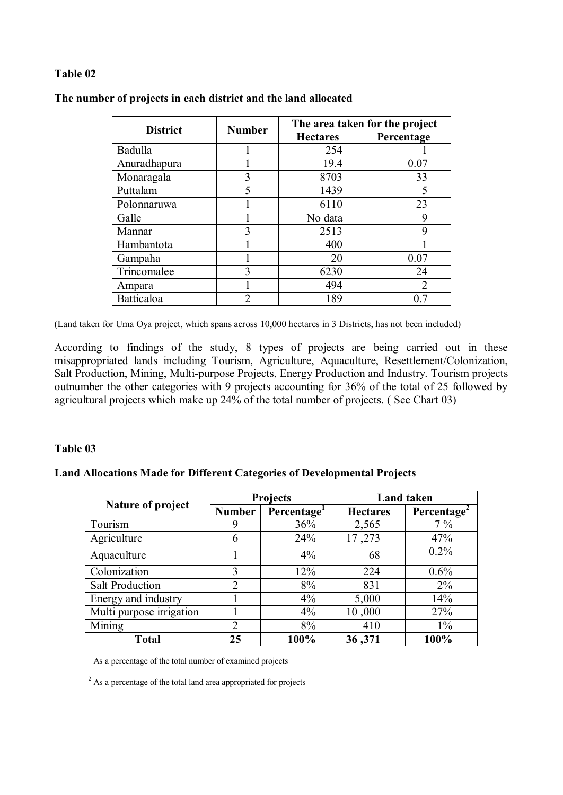## **Table 02**

| <b>District</b> | <b>Number</b> | The area taken for the project |            |  |
|-----------------|---------------|--------------------------------|------------|--|
|                 |               | <b>Hectares</b>                | Percentage |  |
| Badulla         |               | 254                            |            |  |
| Anuradhapura    |               | 19.4                           | 0.07       |  |
| Monaragala      | 3             | 8703                           | 33         |  |
| Puttalam        | 5             | 1439                           |            |  |
| Polonnaruwa     |               | 6110                           | 23         |  |
| Galle           |               | No data                        | 9          |  |
| Mannar          | 3             | 2513                           | 9          |  |
| Hambantota      |               | 400                            |            |  |
| Gampaha         |               | 20                             | 0.07       |  |
| Trincomalee     | 3             | 6230                           | 24         |  |
| Ampara          |               | 494                            | 2          |  |
| Batticaloa      | 2             | 189                            | 07         |  |

#### **The number of projects in each district and the land allocated**

(Land taken for Uma Oya project, which spans across 10,000 hectares in 3 Districts, has not been included)

According to findings of the study, 8 types of projects are being carried out in these misappropriated lands including Tourism, Agriculture, Aquaculture, Resettlement/Colonization, Salt Production, Mining, Multi-purpose Projects, Energy Production and Industry. Tourism projects outnumber the other categories with 9 projects accounting for 36% of the total of 25 followed by agricultural projects which make up 24% of the total number of projects. ( See Chart 03)

#### **Table 03**

### **Land Allocations Made for Different Categories of Developmental Projects**

|                          | <b>Projects</b> |                         | <b>Land taken</b> |            |  |
|--------------------------|-----------------|-------------------------|-------------------|------------|--|
| Nature of project        | <b>Number</b>   | Percentage <sup>1</sup> | <b>Hectares</b>   | Percentage |  |
| Tourism                  | 9               | 36%                     | 2,565             | $7\%$      |  |
| Agriculture              | 6               | 24%                     | 17,273            | 47%        |  |
| Aquaculture              |                 | $4\%$                   | 68                | $0.2\%$    |  |
| Colonization             | 3               | 12%                     | 224               | $0.6\%$    |  |
| <b>Salt Production</b>   | $\overline{2}$  | 8%                      | 831               | $2\%$      |  |
| Energy and industry      |                 | $4\%$                   | 5,000             | 14%        |  |
| Multi purpose irrigation |                 | $4\%$                   | 10,000            | 27%        |  |
| Mining                   | $\overline{2}$  | 8%                      | 410               | $1\%$      |  |
| <b>Total</b>             | 25              | 100%                    | 36,371            | 100%       |  |

<sup>1</sup> As a percentage of the total number of examined projects

<sup>2</sup> As a percentage of the total land area appropriated for projects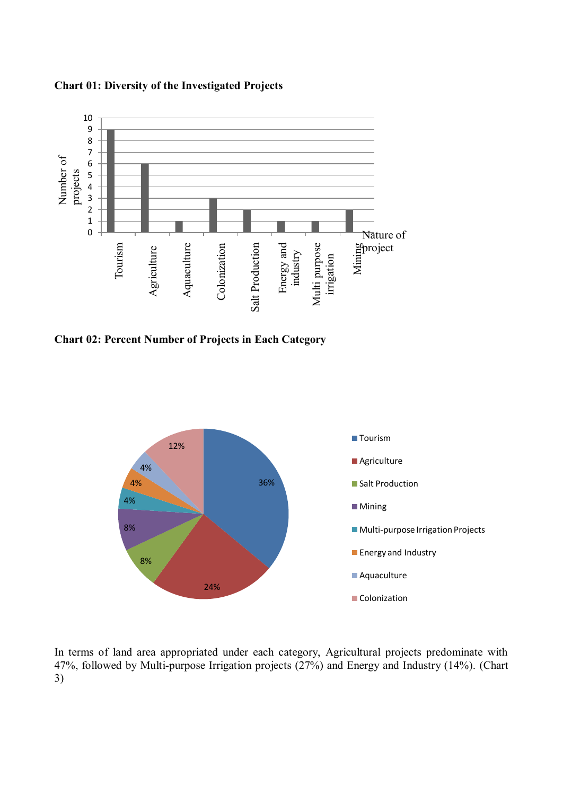

#### **Chart 01: Diversity of the Investigated Projects**

**Chart 02: Percent Number of Projects in Each Category**



In terms of land area appropriated under each category, Agricultural projects predominate with 47%, followed by Multi-purpose Irrigation projects (27%) and Energy and Industry (14%). (Chart 3)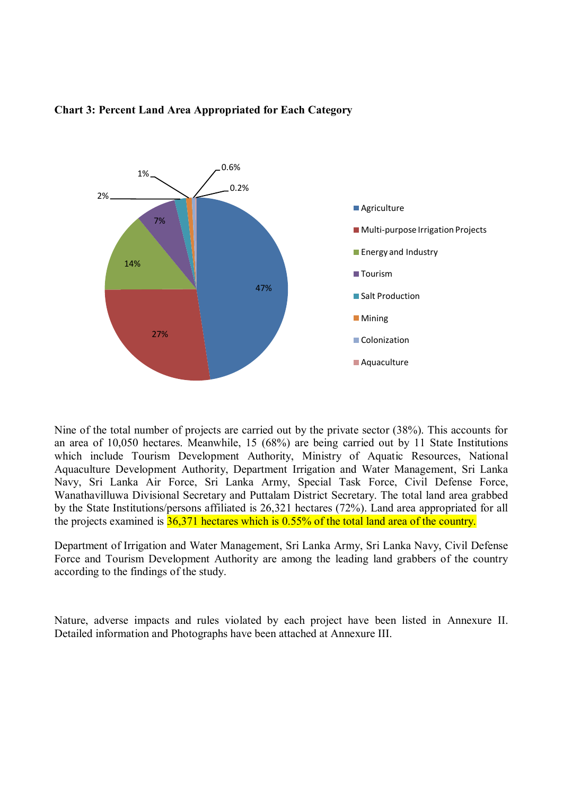

#### **Chart 3: Percent Land Area Appropriated for Each Category**

Nine of the total number of projects are carried out by the private sector (38%). This accounts for an area of 10,050 hectares. Meanwhile, 15 (68%) are being carried out by 11 State Institutions which include Tourism Development Authority, Ministry of Aquatic Resources, National Aquaculture Development Authority, Department Irrigation and Water Management, Sri Lanka Navy, Sri Lanka Air Force, Sri Lanka Army, Special Task Force, Civil Defense Force, Wanathavilluwa Divisional Secretary and Puttalam District Secretary. The total land area grabbed by the State Institutions/persons affiliated is 26,321 hectares (72%). Land area appropriated for all the projects examined is  $36,371$  hectares which is 0.55% of the total land area of the country.

Department of Irrigation and Water Management, Sri Lanka Army, Sri Lanka Navy, Civil Defense Force and Tourism Development Authority are among the leading land grabbers of the country according to the findings of the study.

Nature, adverse impacts and rules violated by each project have been listed in Annexure II. Detailed information and Photographs have been attached at Annexure III.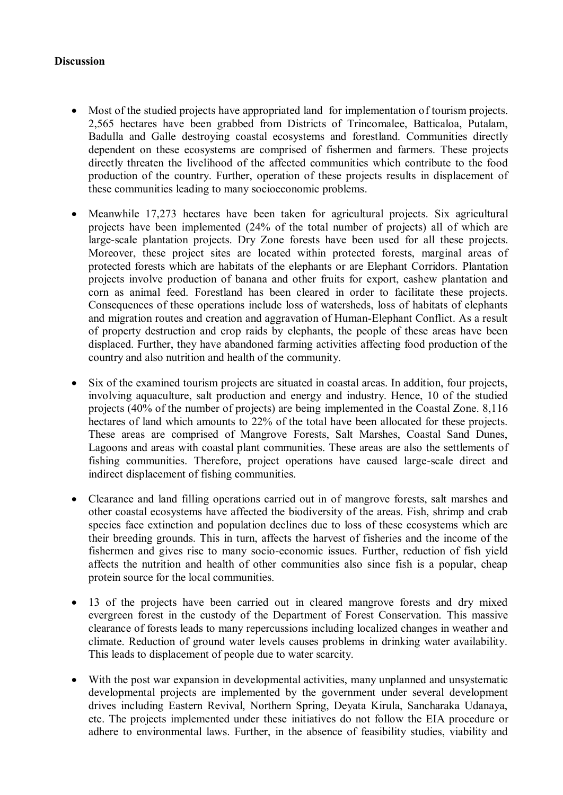#### **Discussion**

- Most of the studied projects have appropriated land for implementation of tourism projects. 2,565 hectares have been grabbed from Districts of Trincomalee, Batticaloa, Putalam, Badulla and Galle destroying coastal ecosystems and forestland. Communities directly dependent on these ecosystems are comprised of fishermen and farmers. These projects directly threaten the livelihood of the affected communities which contribute to the food production of the country. Further, operation of these projects results in displacement of these communities leading to many socioeconomic problems.
- Meanwhile 17,273 hectares have been taken for agricultural projects. Six agricultural projects have been implemented (24% of the total number of projects) all of which are large-scale plantation projects. Dry Zone forests have been used for all these projects. Moreover, these project sites are located within protected forests, marginal areas of protected forests which are habitats of the elephants or are Elephant Corridors. Plantation projects involve production of banana and other fruits for export, cashew plantation and corn as animal feed. Forestland has been cleared in order to facilitate these projects. Consequences of these operations include loss of watersheds, loss of habitats of elephants and migration routes and creation and aggravation of Human-Elephant Conflict. As a result of property destruction and crop raids by elephants, the people of these areas have been displaced. Further, they have abandoned farming activities affecting food production of the country and also nutrition and health of the community.
- Six of the examined tourism projects are situated in coastal areas. In addition, four projects, involving aquaculture, salt production and energy and industry. Hence, 10 of the studied projects (40% of the number of projects) are being implemented in the Coastal Zone. 8,116 hectares of land which amounts to 22% of the total have been allocated for these projects. These areas are comprised of Mangrove Forests, Salt Marshes, Coastal Sand Dunes, Lagoons and areas with coastal plant communities. These areas are also the settlements of fishing communities. Therefore, project operations have caused large-scale direct and indirect displacement of fishing communities.
- Clearance and land filling operations carried out in of mangrove forests, salt marshes and other coastal ecosystems have affected the biodiversity of the areas. Fish, shrimp and crab species face extinction and population declines due to loss of these ecosystems which are their breeding grounds. This in turn, affects the harvest of fisheries and the income of the fishermen and gives rise to many socio-economic issues. Further, reduction of fish yield affects the nutrition and health of other communities also since fish is a popular, cheap protein source for the local communities.
- 13 of the projects have been carried out in cleared mangrove forests and dry mixed evergreen forest in the custody of the Department of Forest Conservation. This massive clearance of forests leads to many repercussions including localized changes in weather and climate. Reduction of ground water levels causes problems in drinking water availability. This leads to displacement of people due to water scarcity.
- With the post war expansion in developmental activities, many unplanned and unsystematic developmental projects are implemented by the government under several development drives including Eastern Revival, Northern Spring, Deyata Kirula, Sancharaka Udanaya, etc. The projects implemented under these initiatives do not follow the EIA procedure or adhere to environmental laws. Further, in the absence of feasibility studies, viability and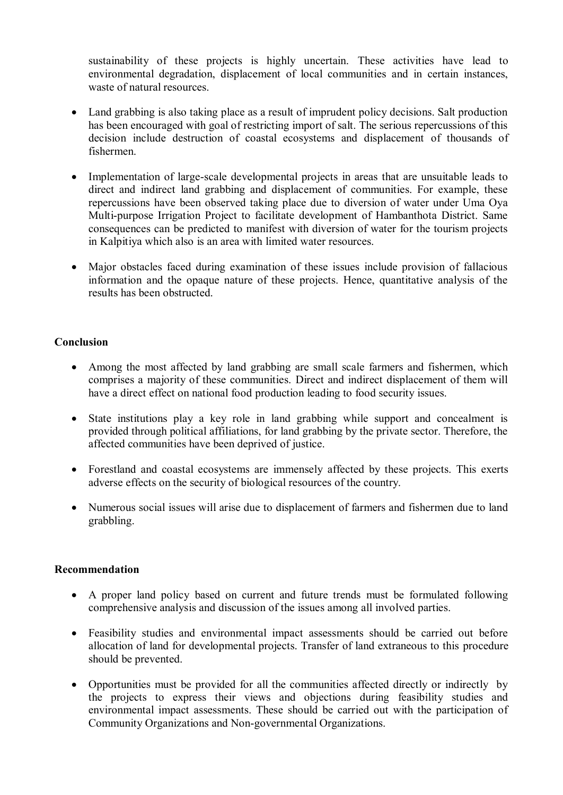sustainability of these projects is highly uncertain. These activities have lead to environmental degradation, displacement of local communities and in certain instances, waste of natural resources.

- Land grabbing is also taking place as a result of imprudent policy decisions. Salt production has been encouraged with goal of restricting import of salt. The serious repercussions of this decision include destruction of coastal ecosystems and displacement of thousands of fishermen.
- Implementation of large-scale developmental projects in areas that are unsuitable leads to direct and indirect land grabbing and displacement of communities. For example, these repercussions have been observed taking place due to diversion of water under Uma Oya Multi-purpose Irrigation Project to facilitate development of Hambanthota District. Same consequences can be predicted to manifest with diversion of water for the tourism projects in Kalpitiya which also is an area with limited water resources.
- Major obstacles faced during examination of these issues include provision of fallacious information and the opaque nature of these projects. Hence, quantitative analysis of the results has been obstructed.

## **Conclusion**

- Among the most affected by land grabbing are small scale farmers and fishermen, which comprises a majority of these communities. Direct and indirect displacement of them will have a direct effect on national food production leading to food security issues.
- State institutions play a key role in land grabbing while support and concealment is provided through political affiliations, for land grabbing by the private sector. Therefore, the affected communities have been deprived of justice.
- Forestland and coastal ecosystems are immensely affected by these projects. This exerts adverse effects on the security of biological resources of the country.
- Numerous social issues will arise due to displacement of farmers and fishermen due to land grabbling.

## **Recommendation**

- A proper land policy based on current and future trends must be formulated following comprehensive analysis and discussion of the issues among all involved parties.
- Feasibility studies and environmental impact assessments should be carried out before allocation of land for developmental projects. Transfer of land extraneous to this procedure should be prevented.
- Opportunities must be provided for all the communities affected directly or indirectly by the projects to express their views and objections during feasibility studies and environmental impact assessments. These should be carried out with the participation of Community Organizations and Non-governmental Organizations.